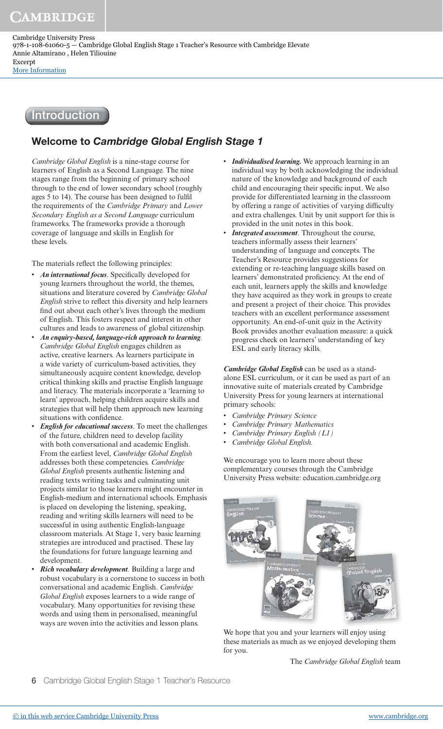## Introduction

## Welcome to Cambridge Global English Stage 1

*Cambridge Global English* is a nine-stage course for learners of English as a Second Language. The nine stages range from the beginning of primary school through to the end of lower secondary school (roughly ages 5 to 14). The course has been designed to fulfil the requirements of the *Cambridge Primary* and *Lower Secondary English as a Second Language* curriculum frameworks. The frameworks provide a thorough coverage of language and skills in English for these levels.

The materials reflect the following principles:

- An *international focus*. Specifically developed for young learners throughout the world, the themes, situations and literature covered by *Cambridge Global English* strive to reflect this diversity and help learners find out about each other's lives through the medium of English. This fosters respect and interest in other cultures and leads to awareness of global citizenship.
- **An enquiry-based, language-rich approach to learning***. Cambridge Global English* engages children as active, creative learners. As learners participate in a wide variety of curriculum-based activities, they simultaneously acquire content knowledge, develop critical thinking skills and practise English language and literacy. The materials incorporate a 'learning to learn' approach, helping children acquire skills and strategies that will help them approach new learning situations with confidence.
- **English for educational success**. To meet the challenges of the future, children need to develop facility with both conversational and academic English. From the earliest level, *Cambridge Global English* addresses both these competencies. *Cambridge Global English* presents authentic listening and reading texts writing tasks and culminating unit projects similar to those learners might encounter in English-medium and international schools. Emphasis is placed on developing the listening, speaking, reading and writing skills learners will need to be successful in using authentic English-language classroom materials. At Stage 1, very basic learning strategies are introduced and practised. These lay the foundations for future language learning and development.
- **Rich vocabulary development***.* Building a large and robust vocabulary is a cornerstone to success in both conversational and academic English. *Cambridge Global English* exposes learners to a wide range of vocabulary. Many opportunities for revising these words and using them in personalised, meaningful ways are woven into the activities and lesson plans.
- **Individualised learning.** We approach learning in an individual way by both acknowledging the individual nature of the knowledge and background of each child and encouraging their specific input. We also provide for differentiated learning in the classroom by offering a range of activities of varying difficulty and extra challenges. Unit by unit support for this is provided in the unit notes in this book.
- **Integrated assessment**. Throughout the course, teachers informally assess their learners' understanding of language and concepts. The Teacher's Resource provides suggestions for extending or re-teaching language skills based on learners' demonstrated proficiency. At the end of each unit, learners apply the skills and knowledge they have acquired as they work in groups to create and present a project of their choice. This provides teachers with an excellent performance assessment opportunity. An end-of-unit quiz in the Activity Book provides another evaluation measure: a quick progress check on learners' understanding of key ESL and early literacy skills.

**Cambridge Global English** can be used as a standalone ESL curriculum, or it can be used as part of an innovative suite of materials created by Cambridge University Press for young learners at international primary schools:

- • *Cambridge Primary Science*
- • *Cambridge Primary Mathematics*
- • *Cambridge Primary English (L1)*
	- • *Cambridge Global English.*

We encourage you to learn more about these complementary courses through the Cambridge University Press website: education.cambridge.org



We hope that you and your learners will enjoy using these materials as much as we enjoyed developing them for you.

The *Cambridge Global English* team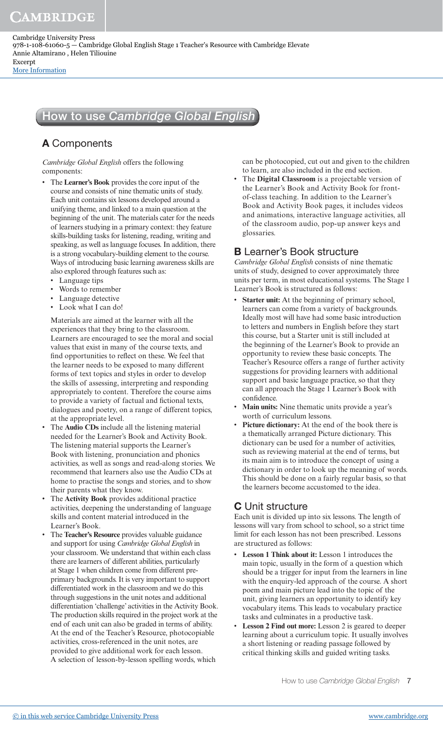CAMBRIDGE

# How to use Cambridge Global English

## A Components

*Cambridge Global English* offers the following components:

- The **Learner's Book** provides the core input of the course and consists of nine thematic units of study. Each unit contains six lessons developed around a unifying theme, and linked to a main question at the beginning of the unit. The materials cater for the needs of learners studying in a primary context: they feature skills-building tasks for listening, reading, writing and speaking, as well as language focuses. In addition, there is a strong vocabulary-building element to the course. Ways of introducing basic learning awareness skills are also explored through features such as:
	- Language tips
	- Words to remember
	- Language detective
	- Look what I can do!

 Materials are aimed at the learner with all the experiences that they bring to the classroom. Learners are encouraged to see the moral and social values that exist in many of the course texts, and find opportunities to reflect on these. We feel that the learner needs to be exposed to many different forms of text topics and styles in order to develop the skills of assessing, interpreting and responding appropriately to content. Therefore the course aims to provide a variety of factual and fictional texts, dialogues and poetry, on a range of different topics, at the appropriate level.

- The **Audio CDs** include all the listening material needed for the Learner's Book and Activity Book. The listening material supports the Learner's Book with listening, pronunciation and phonics activities, as well as songs and read-along stories. We recommend that learners also use the Audio CDs at home to practise the songs and stories, and to show their parents what they know.
- The **Activity Book** provides additional practice activities, deepening the understanding of language skills and content material introduced in the Learner's Book.
- The **Teacher's Resource** provides valuable guidance and support for using *Cambridge Global English* in your classroom. We understand that within each class there are learners of different abilities, particularly at Stage 1 when children come from different preprimary backgrounds. It is very important to support differentiated work in the classroom and we do this through suggestions in the unit notes and additional differentiation 'challenge' activities in the Activity Book. The production skills required in the project work at the end of each unit can also be graded in terms of ability. At the end of the Teacher's Resource, photocopiable activities, cross-referenced in the unit notes, are provided to give additional work for each lesson. A selection of lesson-by-lesson spelling words, which

can be photocopied, cut out and given to the children to learn, are also included in the end section.

• The **Digital Classroom** is a projectable version of the Learner's Book and Activity Book for frontof-class teaching. In addition to the Learner's Book and Activity Book pages, it includes videos and animations, interactive language activities, all of the classroom audio, pop-up answer keys and glossaries.

### B Learner's Book structure

*Cambridge Global English* consists of nine thematic units of study, designed to cover approximately three units per term, in most educational systems. The Stage 1 Learner's Book is structured as follows:

- **Starter unit:** At the beginning of primary school, learners can come from a variety of backgrounds. Ideally most will have had some basic introduction to letters and numbers in English before they start this course, but a Starter unit is still included at the beginning of the Learner's Book to provide an opportunity to review these basic concepts. The Teacher's Resource offers a range of further activity suggestions for providing learners with additional support and basic language practice, so that they can all approach the Stage 1 Learner's Book with confidence.
- **Main units:** Nine thematic units provide a year's worth of curriculum lessons.
- Picture dictionary: At the end of the book there is a thematically arranged Picture dictionary. This dictionary can be used for a number of activities, such as reviewing material at the end of terms, but its main aim is to introduce the concept of using a dictionary in order to look up the meaning of words. This should be done on a fairly regular basis, so that the learners become accustomed to the idea.

### C Unit structure

Each unit is divided up into six lessons. The length of lessons will vary from school to school, so a strict time limit for each lesson has not been prescribed. Lessons are structured as follows:

- **Lesson 1 Think about it:** Lesson 1 introduces the main topic, usually in the form of a question which should be a trigger for input from the learners in line with the enquiry-led approach of the course. A short poem and main picture lead into the topic of the unit, giving learners an opportunity to identify key vocabulary items. This leads to vocabulary practice tasks and culminates in a productive task.
- **Lesson 2 Find out more:** Lesson 2 is geared to deeper learning about a curriculum topic. It usually involves a short listening or reading passage followed by critical thinking skills and guided writing tasks.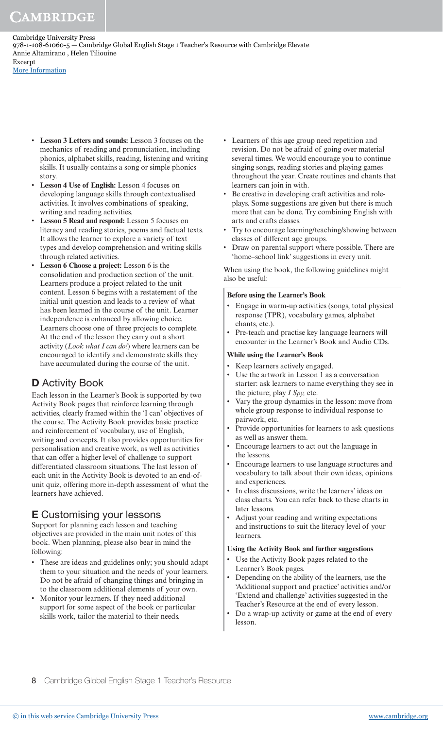# CAMBRIDGE

Cambridge University Press 978-1-108-61060-5 — Cambridge Global English Stage 1 Teacher's Resource with Cambridge Elevate Annie Altamirano , Helen Tiliouine Excerpt [More Information](www.cambridge.org/9781108610605)

- **Lesson 3 Letters and sounds:** Lesson 3 focuses on the mechanics of reading and pronunciation, including phonics, alphabet skills, reading, listening and writing skills. It usually contains a song or simple phonics story.
- **Lesson 4 Use of English:** Lesson 4 focuses on developing language skills through contextualised activities. It involves combinations of speaking, writing and reading activities.
- Lesson 5 Read and respond: Lesson 5 focuses on literacy and reading stories, poems and factual texts. It allows the learner to explore a variety of text types and develop comprehension and writing skills through related activities.
- **Lesson 6 Choose a project:** Lesson 6 is the consolidation and production section of the unit. Learners produce a project related to the unit content. Lesson 6 begins with a restatement of the initial unit question and leads to a review of what has been learned in the course of the unit. Learner independence is enhanced by allowing choice. Learners choose one of three projects to complete. At the end of the lesson they carry out a short activity (*Look what I can do!*) where learners can be encouraged to identify and demonstrate skills they have accumulated during the course of the unit.

### **D** Activity Book

Each lesson in the Learner's Book is supported by two Activity Book pages that reinforce learning through activities, clearly framed within the 'I can' objectives of the course. The Activity Book provides basic practice and reinforcement of vocabulary, use of English, writing and concepts. It also provides opportunities for personalisation and creative work, as well as activities that can offer a higher level of challenge to support differentiated classroom situations. The last lesson of each unit in the Activity Book is devoted to an end-ofunit quiz, offering more in-depth assessment of what the learners have achieved.

### E Customising your lessons

Support for planning each lesson and teaching objectives are provided in the main unit notes of this book. When planning, please also bear in mind the following:

- These are ideas and guidelines only; you should adapt them to your situation and the needs of your learners. Do not be afraid of changing things and bringing in to the classroom additional elements of your own.
- Monitor your learners. If they need additional support for some aspect of the book or particular skills work, tailor the material to their needs.
- Learners of this age group need repetition and revision. Do not be afraid of going over material several times. We would encourage you to continue singing songs, reading stories and playing games throughout the year. Create routines and chants that learners can join in with.
- Be creative in developing craft activities and roleplays. Some suggestions are given but there is much more that can be done. Try combining English with arts and crafts classes.
- Try to encourage learning/teaching/showing between classes of different age groups.
- Draw on parental support where possible. There are 'home–school link' suggestions in every unit.

When using the book, the following guidelines might also be useful:

#### **Before using the Learner's Book**

- Engage in warm-up activities (songs, total physical response (TPR), vocabulary games, alphabet chants, etc.).
- Pre-teach and practise key language learners will encounter in the Learner's Book and Audio CDs.

#### **While using the Learner's Book**

- Keep learners actively engaged.
- Use the artwork in Lesson 1 as a conversation starter: ask learners to name everything they see in the picture; play *I Spy,* etc.
- Vary the group dynamics in the lesson: move from whole group response to individual response to pairwork, etc.
- Provide opportunities for learners to ask questions as well as answer them.
- Encourage learners to act out the language in the lessons.
- Encourage learners to use language structures and vocabulary to talk about their own ideas, opinions and experiences.
- In class discussions, write the learners' ideas on class charts. You can refer back to these charts in later lessons.
- Adjust your reading and writing expectations and instructions to suit the literacy level of your learners.

#### **Using the Activity Book and further suggestions**

- Use the Activity Book pages related to the Learner's Book pages.
- Depending on the ability of the learners, use the 'Additional support and practice' activities and/or 'Extend and challenge' activities suggested in the Teacher's Resource at the end of every lesson.
- Do a wrap-up activity or game at the end of every lesson.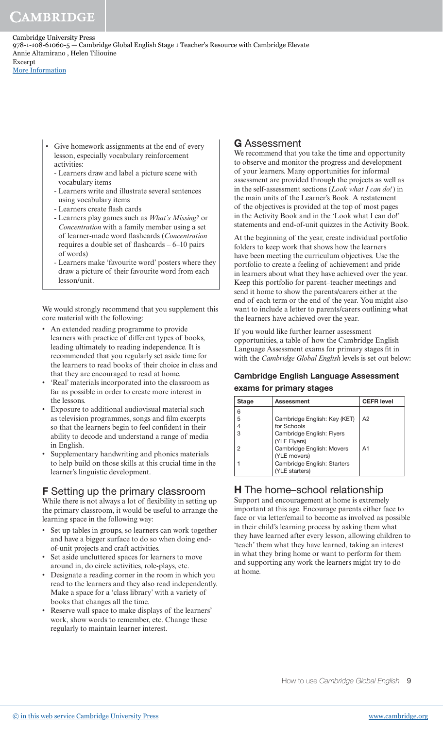- Give homework assignments at the end of every lesson, especially vocabulary reinforcement activities:
	- Learners draw and label a picture scene with vocabulary items
	- Learners write and illustrate several sentences using vocabulary items
	- Learners create flash cards
	- Learners play games such as *What's Missing?* or *Concentration* with a family member using a set of learner-made word flashcards (*Concentration*  requires a double set of flashcards – 6–10 pairs of words)
	- Learners make 'favourite word' posters where they draw a picture of their favourite word from each lesson/unit.

We would strongly recommend that you supplement this core material with the following:

- An extended reading programme to provide learners with practice of different types of books, leading ultimately to reading independence. It is recommended that you regularly set aside time for the learners to read books of their choice in class and that they are encouraged to read at home.
- 'Real' materials incorporated into the classroom as far as possible in order to create more interest in the lessons.
- Exposure to additional audiovisual material such as television programmes, songs and film excerpts so that the learners begin to feel confident in their ability to decode and understand a range of media in English.
- Supplementary handwriting and phonics materials to help build on those skills at this crucial time in the learner's linguistic development.

### F Setting up the primary classroom

While there is not always a lot of flexibility in setting up the primary classroom, it would be useful to arrange the learning space in the following way:

- Set up tables in groups, so learners can work together and have a bigger surface to do so when doing endof-unit projects and craft activities.
- Set aside uncluttered spaces for learners to move around in, do circle activities, role-plays, etc.
- Designate a reading corner in the room in which you read to the learners and they also read independently. Make a space for a 'class library' with a variety of books that changes all the time.
- Reserve wall space to make displays of the learners' work, show words to remember, etc. Change these regularly to maintain learner interest.

## G Assessment

We recommend that you take the time and opportunity to observe and monitor the progress and development of your learners. Many opportunities for informal assessment are provided through the projects as well as in the self-assessment sections (*Look what I can do!* ) in the main units of the Learner's Book. A restatement of the objectives is provided at the top of most pages in the Activity Book and in the 'Look what I can do!' statements and end-of-unit quizzes in the Activity Book*.*

At the beginning of the year, create individual portfolio folders to keep work that shows how the learners have been meeting the curriculum objectives. Use the portfolio to create a feeling of achievement and pride in learners about what they have achieved over the year. Keep this portfolio for parent–teacher meetings and send it home to show the parents/carers either at the end of each term or the end of the year. You might also want to include a letter to parents/carers outlining what the learners have achieved over the year.

If you would like further learner assessment opportunities, a table of how the Cambridge English Language Assessment exams for primary stages fit in with the *Cambridge Global English* levels is set out below:

### Cambridge English Language Assessment exams for primary stages

| Stage | <b>Assessment</b>            | <b>CEFR level</b> |
|-------|------------------------------|-------------------|
| 6     |                              |                   |
| 5     | Cambridge English: Key (KET) | A2                |
| 4     | for Schools                  |                   |
| 3     | Cambridge English: Flyers    |                   |
|       | (YLE Flyers)                 |                   |
| 2     | Cambridge English: Movers    | A1                |
|       | (YLE movers)                 |                   |
|       | Cambridge English: Starters  |                   |
|       | (YLE starters)               |                   |

### **H** The home–school relationship

Support and encouragement at home is extremely important at this age. Encourage parents either face to face or via letter/email to become as involved as possible in their child's learning process by asking them what they have learned after every lesson, allowing children to 'teach' them what they have learned, taking an interest in what they bring home or want to perform for them and supporting any work the learners might try to do at home.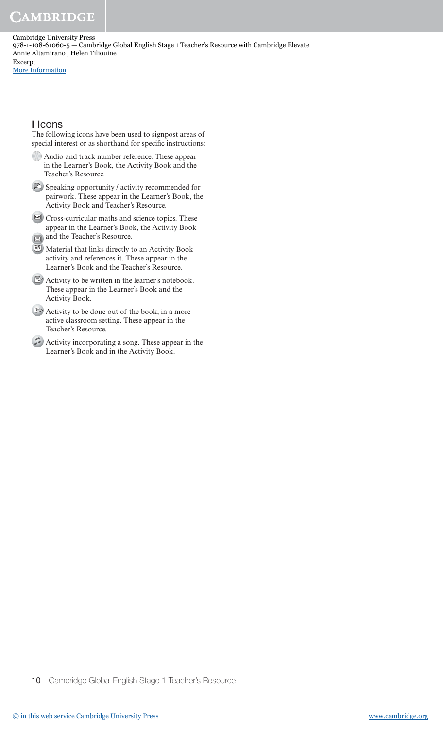# **CAMBRIDGE**

Cambridge University Press 978-1-108-61060-5 — Cambridge Global English Stage 1 Teacher's Resource with Cambridge Elevate Annie Altamirano , Helen Tiliouine Excerpt [More Information](www.cambridge.org/9781108610605)

### I Icons

The following icons have been used to signpost areas of special interest or as shorthand for specific instructions:

- Audio and track number reference. These appear in the Learner's Book, the Activity Book and the Teacher's Resource.
- Speaking opportunity / activity recommended for pairwork. These appear in the Learner's Book, the Activity Book and Teacher's Resource.
- Cross-curricular maths and science topics. These appear in the Learner's Book, the Activity Book and the Teacher's Resource.
- AB Material that links directly to an Activity Book activity and references it. These appear in the Learner's Book and the Teacher's Resource.
- Activity to be written in the learner's notebook. These appear in the Learner's Book and the Activity Book.
- Activity to be done out of the book, in a more active classroom setting. These appear in the Teacher's Resource.
- Activity incorporating a song. These appear in the Learner's Book and in the Activity Book.

10 Cambridge Global English Stage 1 Teacher's Resource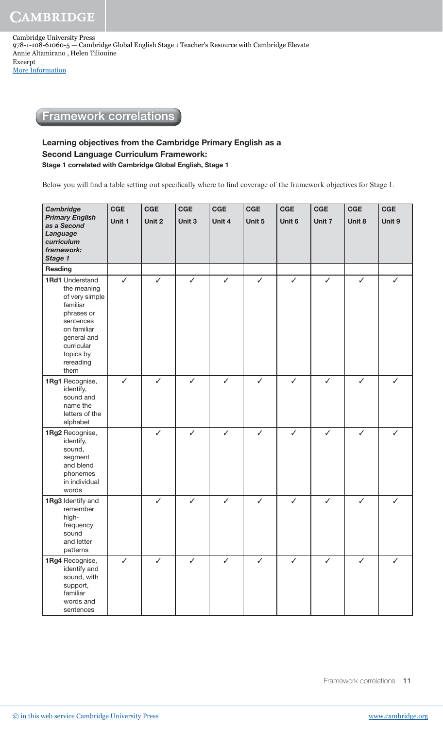## Framework correlations

### Learning objectives from the Cambridge Primary English as a Second Language Curriculum Framework: Stage 1 correlated with Cambridge Global English, Stage 1

Below you will find a table setting out specifically where to find coverage of the framework objectives for Stage 1.

| <b>Cambridge</b><br><b>Primary English</b><br>as a Second<br>Language<br>curriculum<br>framework:<br>Stage 1                                                                 | <b>CGE</b><br>Unit 1 | <b>CGE</b><br>Unit 2 | <b>CGE</b><br>Unit 3 | <b>CGE</b><br>Unit 4 | <b>CGE</b><br>Unit 5 | CGE<br>Unit 6 | <b>CGE</b><br>Unit 7 | <b>CGE</b><br>Unit 8 | <b>CGE</b><br>Unit 9 |
|------------------------------------------------------------------------------------------------------------------------------------------------------------------------------|----------------------|----------------------|----------------------|----------------------|----------------------|---------------|----------------------|----------------------|----------------------|
| Reading                                                                                                                                                                      |                      |                      |                      |                      |                      |               |                      |                      |                      |
| <b>1Rd1</b> Understand<br>the meaning<br>of very simple<br>familiar<br>phrases or<br>sentences<br>on familiar<br>general and<br>curricular<br>topics by<br>rereading<br>them | $\checkmark$         | ✓                    | $\checkmark$         | ✓                    | $\checkmark$         | ✓             | $\checkmark$         | $\checkmark$         | ✓                    |
| 1Rg1 Recognise,<br>identify,<br>sound and<br>name the<br>letters of the<br>alphabet                                                                                          | $\checkmark$         | $\checkmark$         | $\checkmark$         | $\checkmark$         | $\checkmark$         | $\checkmark$  | $\checkmark$         | $\checkmark$         | $\checkmark$         |
| 1Rg2 Recognise,<br>identify,<br>sound,<br>segment<br>and blend<br>phonemes<br>in individual<br>words                                                                         |                      | $\checkmark$         | $\checkmark$         | $\checkmark$         | $\checkmark$         | $\checkmark$  | $\checkmark$         | $\checkmark$         | $\checkmark$         |
| 1Rg3 Identify and<br>remember<br>high-<br>frequency<br>sound<br>and letter<br>patterns                                                                                       |                      | $\checkmark$         | $\checkmark$         | $\checkmark$         | $\checkmark$         | $\checkmark$  | $\checkmark$         | $\checkmark$         | ✓                    |
| 1Rg4 Recognise,<br>identify and<br>sound, with<br>support,<br>familiar<br>words and<br>sentences                                                                             | $\checkmark$         | $\checkmark$         | $\checkmark$         | $\checkmark$         | $\checkmark$         | $\checkmark$  | $\checkmark$         | $\checkmark$         | $\checkmark$         |

Framework correlations 11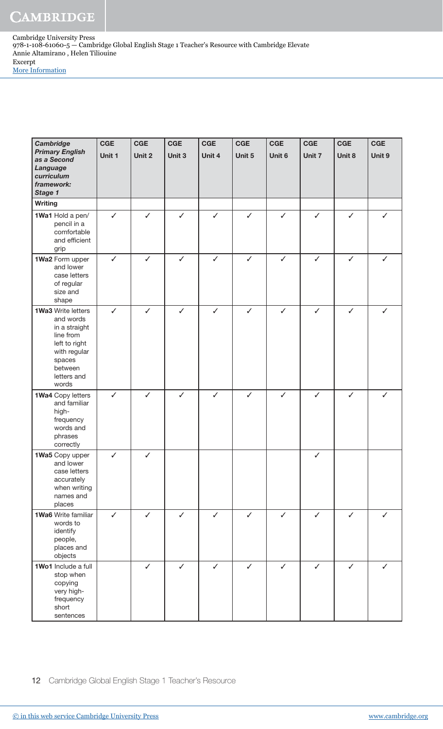**Cambridge** Primary English as a Second Language curriculum framework: Stage 1 **CGE** Unit 1 **CGE** Unit 2 **CGE** Unit 3 **CGE** Unit 4 **CGE** Unit 5 **CGE** Unit 6 **CGE** Unit 7 **CGE** Unit 8 **CGE** Unit 9 **Writing** 1Wa1 Hold a pen/ pencil in a comfortable and efficient grip ✓ ✓ ✓ ✓ ✓ ✓ ✓ ✓ ✓ 1Wa2 Form upper and lower case letters of regular size and shape ✓ ✓ ✓ ✓ ✓ ✓ ✓ ✓ ✓ 1Wa3 Write letters and words in a straight line from left to right with regular spaces between letters and words ✓ ✓ ✓ ✓ ✓ ✓ ✓ ✓ ✓ 1Wa4 Copy letters and familiar highfrequency words and phrases correctly ✓ ✓ ✓ ✓ ✓ ✓ ✓ ✓ ✓ 1Wa5 Copy upper and lower case letters accurately when writing names and places ✓ ✓ ✓ 1Wa6 Write familiar words to identify people, places and objects ✓ ✓ ✓ ✓ ✓ ✓ ✓ ✓ ✓ 1Wo1 Include a full stop when copying very highfrequency short sentences ✓ ✓ ✓ ✓ ✓ ✓ ✓ ✓

12 Cambridge Global English Stage 1 Teacher's Resource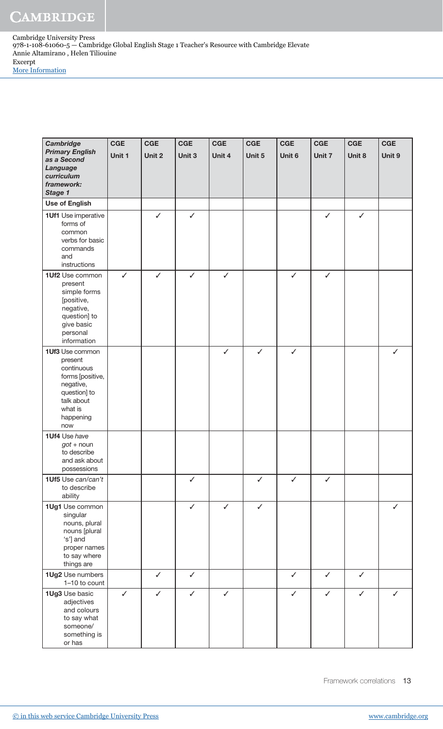> **Cambridge** Primary English as a Second Language curriculum framework: Stage 1 **CGE** Unit 1 **CGE** Unit 2 **CGE** Unit 3 **CGE** Unit 4 **CGE** Unit 5 **CGE** Unit 6 **CGE** Unit 7 **CGE** Unit 8 **CGE** Unit 9 Use of English 1Uf1 Use imperative forms of common verbs for basic commands and instructions ✓ ✓ ✓ ✓ 1Uf2 Use common present simple forms [positive, negative, question] to give basic personal information ✓ ✓ ✓ ✓ ✓ ✓ 1Uf3 Use common present continuous forms [positive, negative, question] to talk about what is happening now ✓ ✓ ✓ ✓ 1Uf4 Use have  $got + noun$ to describe and ask about possessions 1Uf5 Use can/can't to describe ability ✓ ✓ ✓ ✓ 1Ug1 Use common singular nouns, plural nouns [plural 's'] and proper names to say where things are ✓ ✓ ✓ ✓ 1Ug2 Use numbers 1–10 to count ✓ ✓ ✓ ✓ ✓ 1Ug3 Use basic adjectives and colours to say what someone/ something is or has ✓ ✓ ✓ ✓ ✓ ✓ ✓ ✓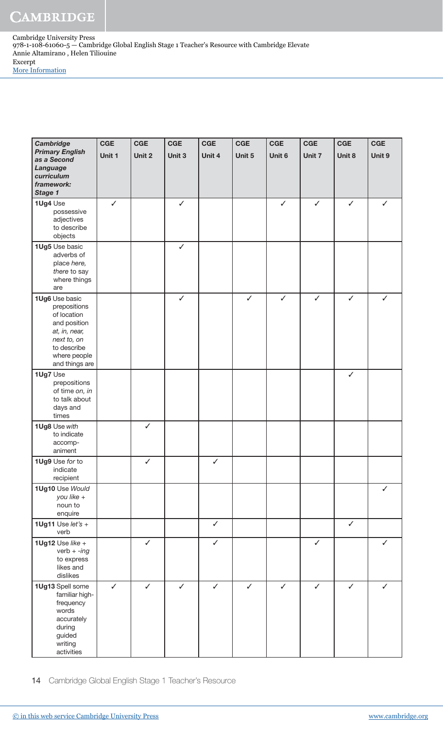**Cambridge** Primary English as a Second Language curriculum framework: Stage 1 **CGE** Unit 1 **CGE** Unit 2 **CGE** Unit 3 **CGE** Unit 4 **CGE** Unit 5 **CGE** Unit 6 **CGE** Unit 7 **CGE** Unit 8 **CGE** Unit 9 1Ug4 Use possessive adjectives to describe objects ✓ ✓ ✓ ✓ ✓ ✓ 1Ug5 Use basic adverbs of place here, there to say where things are ✓ 1Ug6 Use basic prepositions of location and position at, in, near, next to, on to describe where people and things are ✓ ✓ ✓ ✓ ✓ ✓ 1Ug7 Use prepositions of time on, in to talk about days and times ✓ 1Ug8 Use with to indicate accompaniment ✓ 1Ug9 Use for to indicate recipient ✓ ✓ 1Ug10 Use Would you like + noun to enquire ✓ 1Ug11 Use  $let's +$ verb ✓ ✓ 1Ug12 Use like  $+$ verb  $+$  -ing to express likes and dislikes ✓ ✓ ✓ ✓ 1Ug13 Spell some familiar highfrequency words accurately during guided writing activities ✓ ✓ ✓ ✓ ✓ ✓ ✓ ✓ ✓

14 Cambridge Global English Stage 1 Teacher's Resource